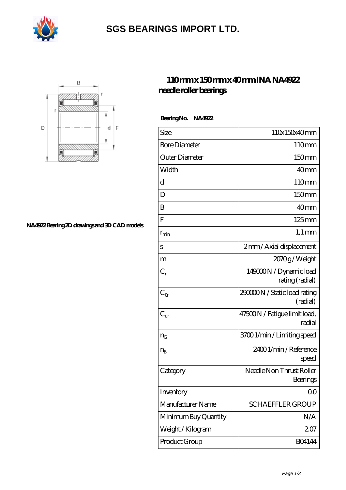

# **[SGS BEARINGS IMPORT LTD.](https://m.olhac.com)**



#### **[NA4922 Bearing 2D drawings and 3D CAD models](https://m.olhac.com/pic-94376.html)**

### **[110 mm x 150 mm x 40 mm INA NA4922](https://m.olhac.com/ar-94376-ina-na4922-needle-roller-bearings.html) [needle roller bearings](https://m.olhac.com/ar-94376-ina-na4922-needle-roller-bearings.html)**

 **Bearing No. NA4922**

| Size                 | 110x150x40mm                              |
|----------------------|-------------------------------------------|
| <b>Bore Diameter</b> | 110mm                                     |
| Outer Diameter       | 150mm                                     |
| Width                | 40mm                                      |
| d                    | 110mm                                     |
| D                    | 150mm                                     |
| B                    | 40 <sub>mm</sub>                          |
| ${\bf F}$            | $125 \text{mm}$                           |
| $r_{\rm min}$        | $1,1 \text{ mm}$                          |
| S                    | 2mm / Axial displacement                  |
| m                    | 2070g/Weight                              |
| $C_r$                | 149000N / Dynamic load<br>rating (radial) |
| $C_{\alpha}$         | 290000N / Static load rating<br>(radial)  |
| $C_{\text{ur}}$      | 47500N / Fatigue limit load,<br>radial    |
| $n_{G}$              | 3700 1/min / Limiting speed               |
| $n_{B}$              | 2400 1/min / Reference<br>speed           |
| Category             | Needle Non Thrust Roller<br>Bearings      |
| Inventory            | 0 <sup>0</sup>                            |
| Manufacturer Name    | <b>SCHAEFFLER GROUP</b>                   |
| Minimum Buy Quantity | N/A                                       |
| Weight/Kilogram      | 207                                       |
| Product Group        | <b>BO4144</b>                             |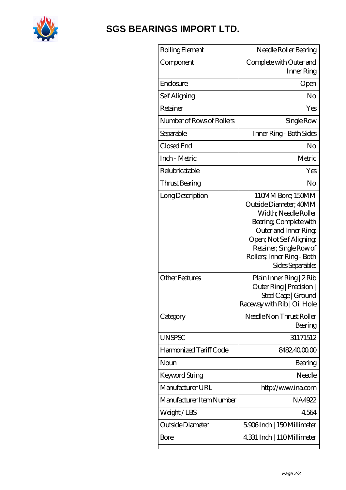

# **[SGS BEARINGS IMPORT LTD.](https://m.olhac.com)**

| Rolling Element           | Needle Roller Bearing                                                                                                                                                                                                          |
|---------------------------|--------------------------------------------------------------------------------------------------------------------------------------------------------------------------------------------------------------------------------|
| Component                 | Complete with Outer and<br>Inner Ring                                                                                                                                                                                          |
| Enclosure                 | Open                                                                                                                                                                                                                           |
| Self Aligning             | No                                                                                                                                                                                                                             |
| Retainer                  | Yes                                                                                                                                                                                                                            |
| Number of Rows of Rollers | Single Row                                                                                                                                                                                                                     |
| Separable                 | Inner Ring - Both Sides                                                                                                                                                                                                        |
| Closed End                | No                                                                                                                                                                                                                             |
| Inch - Metric             | Metric                                                                                                                                                                                                                         |
| Relubricatable            | Yes                                                                                                                                                                                                                            |
| Thrust Bearing            | No                                                                                                                                                                                                                             |
| Long Description          | 110MM Bore; 150MM<br>Outside Diameter; 40MM<br>Width; Needle Roller<br>Bearing, Complete with<br>Outer and Inner Ring,<br>Open; Not Self Aligning<br>Retainer; Single Row of<br>Rollers; Inner Ring - Both<br>Sides Separable; |
| Other Features            | Plain Inner Ring   2 Rib<br>Outer Ring   Precision  <br>Steel Cage   Ground<br>Raceway with Rib   Oil Hole                                                                                                                     |
| Category                  | Needle Non Thrust Roller<br>Bearing                                                                                                                                                                                            |
| <b>UNSPSC</b>             | 31171512                                                                                                                                                                                                                       |
| Harmonized Tariff Code    | 8482.4000.00                                                                                                                                                                                                                   |
| Noun                      | Bearing                                                                                                                                                                                                                        |
| <b>Keyword String</b>     | Needle                                                                                                                                                                                                                         |
| Manufacturer URL          | http://www.ina.com                                                                                                                                                                                                             |
| Manufacturer Item Number  | NA4922                                                                                                                                                                                                                         |
| Weight/LBS                | 4564                                                                                                                                                                                                                           |
| Outside Diameter          | 5.906Inch   150Millimeter                                                                                                                                                                                                      |
| Bore                      | 4.331 Inch   110Millimeter                                                                                                                                                                                                     |